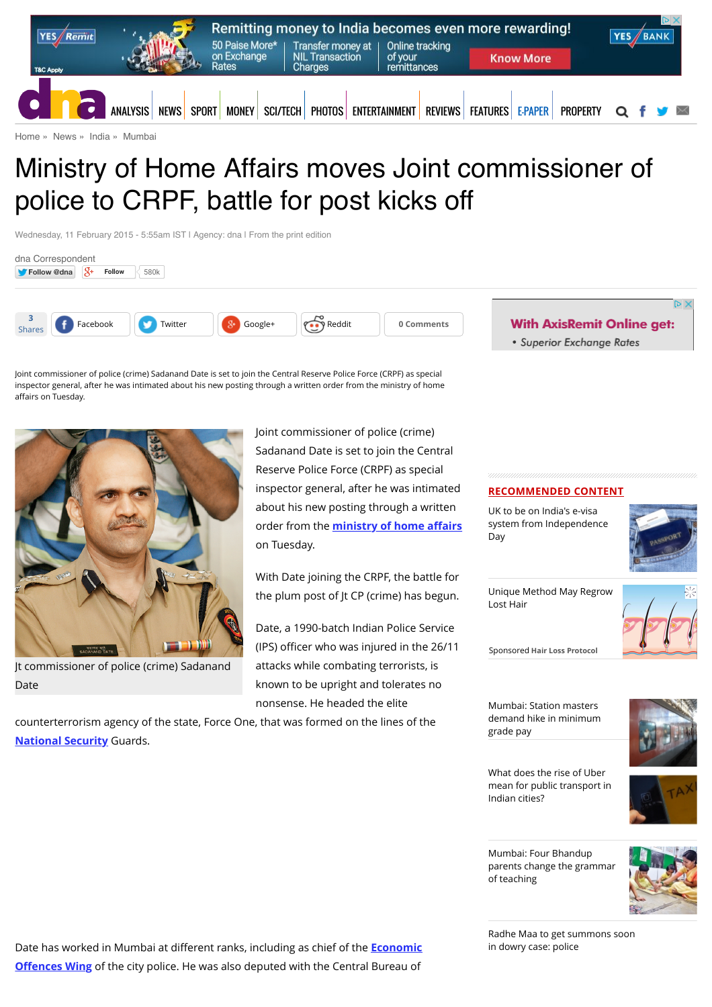

[Home](http://www.dnaindia.com/) » [News](http://www.dnaindia.com/news) » [India](http://www.dnaindia.com/india) » [Mumbai](http://www.dnaindia.com/mumbai)

# Ministry of Home Affairs moves Joint commissioner of police to CRPF, battle for post kicks off

Wednesday, 11 February 2015 - 5:55am IST | Agency: dna | From the print edition



Joint commissioner of police (crime) Sadanand Date is set to join the Central Reserve Police Force (CRPF) as special inspector general, after he was intimated about his new posting through a written order from the ministry of home affairs on Tuesday.



Jt commissioner of police (crime) Sadanand Date

Joint commissioner of police (crime) Sadanand Date is set to join the Central Reserve Police Force (CRPF) as special inspector general, after he was intimated about his new posting through a written order from the **[ministry of home a](http://www.dnaindia.com/topic/ministry-of-home-affairs)ffairs** on Tuesday.

With Date joining the CRPF, the battle for the plum post of Jt CP (crime) has begun.

Date, a 1990-batch Indian Police Service (IPS) officer who was injured in the 26/11 attacks while combating terrorists, is known to be upright and tolerates no nonsense. He headed the elite

counterterrorism agency of the state, Force One, that was formed on the lines of the **[National Security](http://www.dnaindia.com/topic/national-security)** Guards.

· Superior Exchange Rates

## **RECOMMENDED CONTENT**

UK to be on India's e-visa [system from Independence](http://www.dnaindia.com/india/report-uk-to-be-on-india-s-e-visa-system-from-independence-day-2113046) Day



[Unique Method May Regrow](https://beap.gemini.yahoo.com/mbclk?bv=1.0.0&es=1njSWTIGIS9.Nz8O_Jdv7eDeKCObET_jbUufOuVbN38lopw8LPqquKpAgvb19eMiAbKJ7KYW5edss1wX6xgSX1M.FxmzdbIGeFcdPuX6V5QSbZqWX96MHcrz7pRVS7rfzCNSZSo_ZZasmPwjjH0yZ.ituHCU7lqEZ7sMWIE1Pkw5_YgcsxnozfdgEkDsuMmqEvYBeh5MbuDL_Xl4XUdO5cut7LFsiMNKBGB04CRLPNk4kX2eymDbAXui0OL3O452u3NuUYrcz3YAS9uJolJ4.sMK.qboINvvhi6sRIcHcXAo54qEPvGW4H6ds_3T9b_Z8bH01.Jw2Y867agDRt3rcpqJlH0oFIB4xuiae0MciZnbAJoN7GYVMp7plHkWRFHn0KNsWvD2X5ftiEIASVC7JMtrR11u82qRfjVUC2OaUCNCfiNoCUiXA7X5ibv9EyB3ahcyQQAHuQ7exiPTFvYGJ1uhoROz6SgfgBbL6RG0fmCzLh6o3mXJiBtSETdTD4tTgsT6g6ctW5VMkX06fJ02llBZX0Y-%26lp=) Lost Hair



Sponsored **Hair Loss Protocol**

Mumbai: Station masters [demand hike in minimum](http://www.dnaindia.com/mumbai/report-mumbai-station-masters-demand-hike-in-minimum-grade-pay-2113040) grade pay



What does the rise of Uber [mean for public transport in](http://www.dnaindia.com/analysis/standpoint-what-does-the-rise-of-uber-mean-for-public-transport-in-indian-cities-2112827) Indian cities?



Mumbai: Four Bhandup [parents change the grammar](http://www.dnaindia.com/mumbai/report-mumbai-four-bhandup-parents-change-the-grammar-of-teaching-2112731) of teaching



[Radhe Maa to get summons soon](http://www.dnaindia.com/india/report-radhe-maa-to-get-summons-soon-in-dowry-case-police-2112688) in dowry case: police

Date has worked in Mumbai at different ranks, including as chief of the **Economic Offences Wing** [of the city police. He was also deputed with the Central Bureau of](http://www.dnaindia.com/topic/economic-offences-wing)